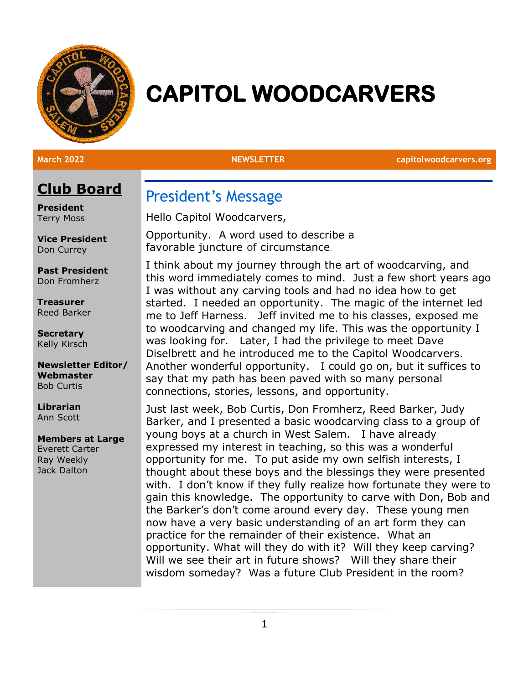

# **CAPITOL WOODCARVERS**

**March 2022 NEWSLETTER capitolwoodcarvers.org**

# **Club Board**

**President** Terry Moss

**Vice President** Don Currey

**Past President** Don Fromherz

**Treasurer** Reed Barker

**Secretary** Kelly Kirsch

**Newsletter Editor/ Webmaster** Bob Curtis

**Librarian** Ann Scott

#### **Members at Large**

Everett Carter Ray Weekly Jack Dalton

President's Message

Hello Capitol Woodcarvers,

Opportunity. A word used to describe a favorable juncture of circumstance.

I think about my journey through the art of woodcarving, and this word immediately comes to mind. Just a few short years ago I was without any carving tools and had no idea how to get started. I needed an opportunity. The magic of the internet led me to Jeff Harness. Jeff invited me to his classes, exposed me to woodcarving and changed my life. This was the opportunity I was looking for. Later, I had the privilege to meet Dave Diselbrett and he introduced me to the Capitol Woodcarvers. Another wonderful opportunity. I could go on, but it suffices to say that my path has been paved with so many personal connections, stories, lessons, and opportunity.

Just last week, Bob Curtis, Don Fromherz, Reed Barker, Judy Barker, and I presented a basic woodcarving class to a group of young boys at a church in West Salem. I have already expressed my interest in teaching, so this was a wonderful opportunity for me. To put aside my own selfish interests, I thought about these boys and the blessings they were presented with. I don't know if they fully realize how fortunate they were to gain this knowledge. The opportunity to carve with Don, Bob and the Barker's don't come around every day. These young men now have a very basic understanding of an art form they can practice for the remainder of their existence. What an opportunity. What will they do with it? Will they keep carving? Will we see their art in future shows? Will they share their wisdom someday? Was a future Club President in the room?

1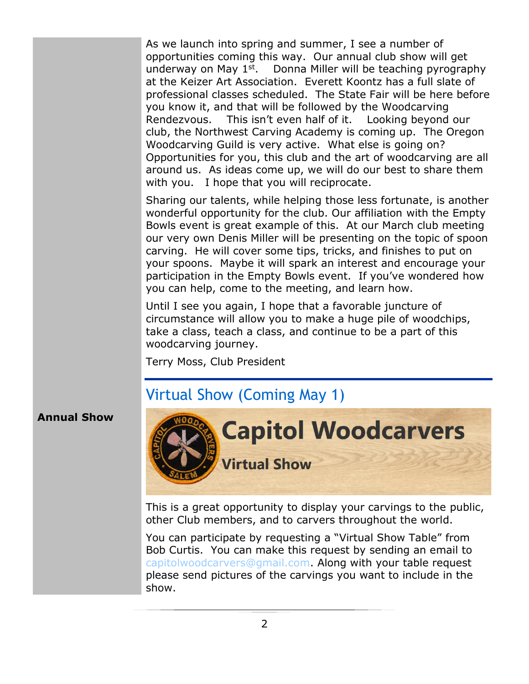As we launch into spring and summer, I see a number of opportunities coming this way. Our annual club show will get underway on May 1<sup>st</sup>. Donna Miller will be teaching pyrography at the Keizer Art Association. Everett Koontz has a full slate of professional classes scheduled. The State Fair will be here before you know it, and that will be followed by the Woodcarving Rendezvous. This isn't even half of it. Looking beyond our club, the Northwest Carving Academy is coming up. The Oregon Woodcarving Guild is very active. What else is going on? Opportunities for you, this club and the art of woodcarving are all around us. As ideas come up, we will do our best to share them with you. I hope that you will reciprocate.

Sharing our talents, while helping those less fortunate, is another wonderful opportunity for the club. Our affiliation with the Empty Bowls event is great example of this. At our March club meeting our very own Denis Miller will be presenting on the topic of spoon carving. He will cover some tips, tricks, and finishes to put on your spoons. Maybe it will spark an interest and encourage your participation in the Empty Bowls event. If you've wondered how you can help, come to the meeting, and learn how.

Until I see you again, I hope that a favorable juncture of circumstance will allow you to make a huge pile of woodchips, take a class, teach a class, and continue to be a part of this woodcarving journey.

Terry Moss, Club President

# Virtual Show (Coming May 1)

#### **Annual Show**



This is a great opportunity to display your carvings to the public, other Club members, and to carvers throughout the world.

You can participate by requesting a "Virtual Show Table" from Bob Curtis. You can make this request by sending an email to [capitolwoodcarvers@gmail.com.](mailto:capitolwoodcarvers@gmail.com) Along with your table request please send pictures of the carvings you want to include in the show.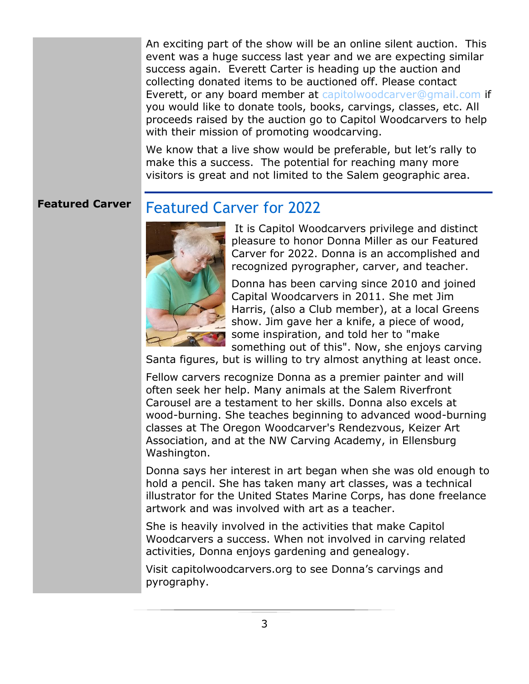An exciting part of the show will be an online silent auction. This event was a huge success last year and we are expecting similar success again. Everett Carter is heading up the auction and collecting donated items to be auctioned off. Please contact Everett, or any board member at [capitolwoodcarver@gmail.com](mailto:capitolwoodcarver@gmail.com) if you would like to donate tools, books, carvings, classes, etc. All proceeds raised by the auction go to Capitol Woodcarvers to help with their mission of promoting woodcarving.

We know that a live show would be preferable, but let's rally to make this a success. The potential for reaching many more visitors is great and not limited to the Salem geographic area.

#### **Featured Carver** Featured Carver for 2022



It is Capitol Woodcarvers privilege and distinct pleasure to honor Donna Miller as our Featured Carver for 2022. Donna is an accomplished and recognized pyrographer, carver, and teacher.

Donna has been carving since 2010 and joined Capital Woodcarvers in 2011. She met Jim Harris, (also a Club member), at a local Greens show. Jim gave her a knife, a piece of wood, some inspiration, and told her to "make something out of this". Now, she enjoys carving

Santa figures, but is willing to try almost anything at least once.

Fellow carvers recognize Donna as a premier painter and will often seek her help. Many animals at the Salem Riverfront Carousel are a testament to her skills. Donna also excels at wood-burning. She teaches beginning to advanced wood-burning classes at The Oregon Woodcarver's Rendezvous, Keizer Art Association, and at the NW Carving Academy, in Ellensburg Washington.

Donna says her interest in art began when she was old enough to hold a pencil. She has taken many art classes, was a technical illustrator for the United States Marine Corps, has done freelance artwork and was involved with art as a teacher.

She is heavily involved in the activities that make Capitol Woodcarvers a success. When not involved in carving related activities, Donna enjoys gardening and genealogy.

Visit capitolwoodcarvers.org to see Donna's carvings and pyrography.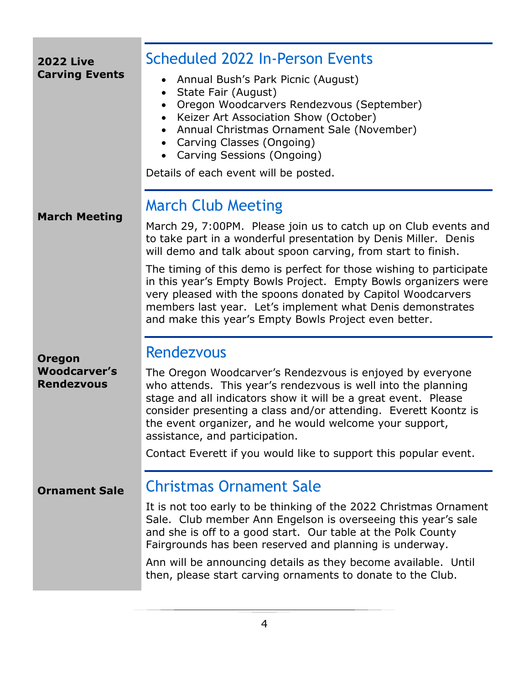| <b>2022 Live</b>                                          | <b>Scheduled 2022 In-Person Events</b>                                                                                                                                                                                                                                                                                                                                                                                           |
|-----------------------------------------------------------|----------------------------------------------------------------------------------------------------------------------------------------------------------------------------------------------------------------------------------------------------------------------------------------------------------------------------------------------------------------------------------------------------------------------------------|
| <b>Carving Events</b>                                     | Annual Bush's Park Picnic (August)<br>State Fair (August)<br>$\bullet$<br>Oregon Woodcarvers Rendezvous (September)<br>Keizer Art Association Show (October)<br>Annual Christmas Ornament Sale (November)<br>$\bullet$<br>Carving Classes (Ongoing)<br>Carving Sessions (Ongoing)<br>Details of each event will be posted.                                                                                                       |
| <b>March Meeting</b>                                      | <b>March Club Meeting</b>                                                                                                                                                                                                                                                                                                                                                                                                        |
|                                                           | March 29, 7:00PM. Please join us to catch up on Club events and<br>to take part in a wonderful presentation by Denis Miller. Denis<br>will demo and talk about spoon carving, from start to finish.                                                                                                                                                                                                                              |
|                                                           | The timing of this demo is perfect for those wishing to participate<br>in this year's Empty Bowls Project. Empty Bowls organizers were<br>very pleased with the spoons donated by Capitol Woodcarvers<br>members last year. Let's implement what Denis demonstrates<br>and make this year's Empty Bowls Project even better.                                                                                                     |
|                                                           | <b>Rendezvous</b>                                                                                                                                                                                                                                                                                                                                                                                                                |
| <b>Oregon</b><br><b>Woodcarver's</b><br><b>Rendezvous</b> | The Oregon Woodcarver's Rendezvous is enjoyed by everyone<br>who attends. This year's rendezvous is well into the planning<br>stage and all indicators show it will be a great event. Please<br>consider presenting a class and/or attending. Everett Koontz is<br>the event organizer, and he would welcome your support,<br>assistance, and participation.<br>Contact Everett if you would like to support this popular event. |
| <b>Ornament Sale</b>                                      | <b>Christmas Ornament Sale</b>                                                                                                                                                                                                                                                                                                                                                                                                   |
|                                                           | It is not too early to be thinking of the 2022 Christmas Ornament<br>Sale. Club member Ann Engelson is overseeing this year's sale<br>and she is off to a good start. Our table at the Polk County<br>Fairgrounds has been reserved and planning is underway.                                                                                                                                                                    |
|                                                           | Ann will be announcing details as they become available. Until<br>then, please start carving ornaments to donate to the Club.                                                                                                                                                                                                                                                                                                    |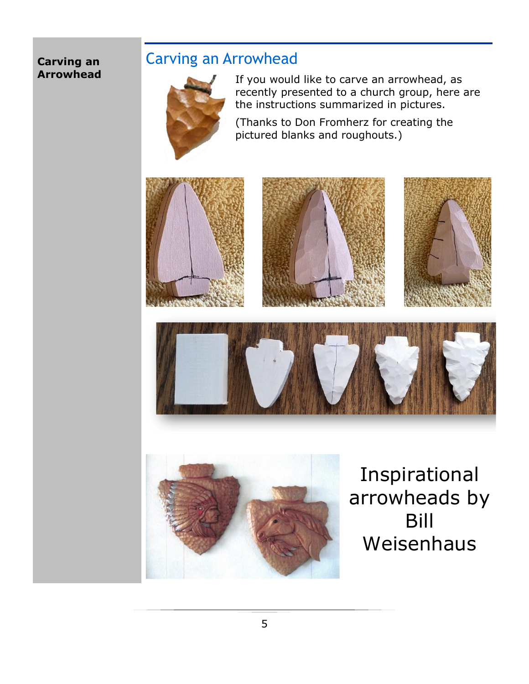### **Carving an Arrowhead**

# Carving an Arrowhead



If you would like to carve an arrowhead, as recently presented to a church group, here are the instructions summarized in pictures.

(Thanks to Don Fromherz for creating the pictured blanks and roughouts.)











Inspirational arrowheads by Bill Weisenhaus